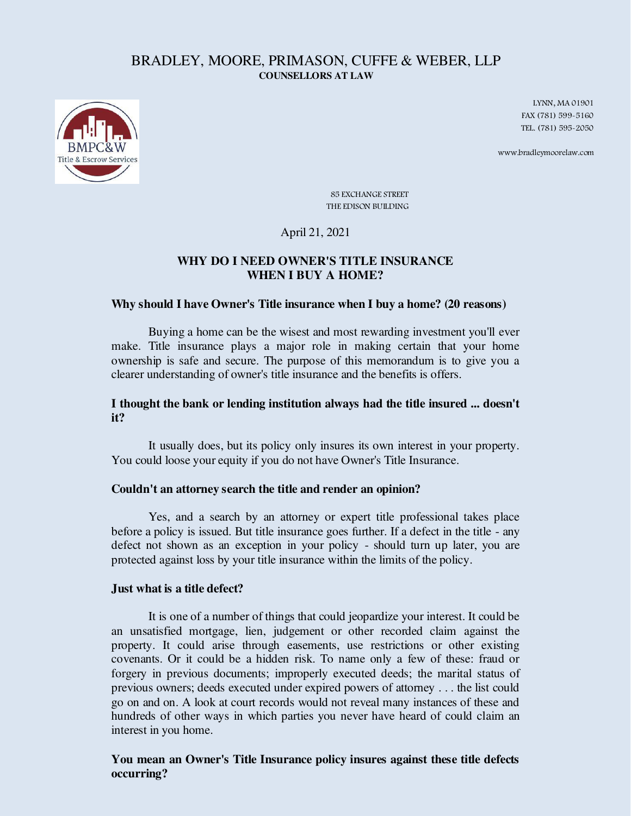## BRADLEY, MOORE, PRIMASON, CUFFE & WEBER, LLP **COUNSELLORS AT LAW**



LYNN, MA 01901 FAX (781) 599-5160 TEL. (781) 595-2050

www.bradleymoorelaw.com

85 EXCHANGE STREET THE EDISON BUILDING

## April 21, 2021

# **WHY DO I NEED OWNER'S TITLE INSURANCE WHEN I BUY A HOME?**

#### **Why should I have Owner's Title insurance when I buy a home? (20 reasons)**

 Buying a home can be the wisest and most rewarding investment you'll ever make. Title insurance plays a major role in making certain that your home ownership is safe and secure. The purpose of this memorandum is to give you a clearer understanding of owner's title insurance and the benefits is offers.

## **I thought the bank or lending institution always had the title insured ... doesn't it?**

 It usually does, but its policy only insures its own interest in your property. You could loose your equity if you do not have Owner's Title Insurance.

#### **Couldn't an attorney search the title and render an opinion?**

 Yes, and a search by an attorney or expert title professional takes place before a policy is issued. But title insurance goes further. If a defect in the title - any defect not shown as an exception in your policy - should turn up later, you are protected against loss by your title insurance within the limits of the policy.

#### **Just what is a title defect?**

 It is one of a number of things that could jeopardize your interest. It could be an unsatisfied mortgage, lien, judgement or other recorded claim against the property. It could arise through easements, use restrictions or other existing covenants. Or it could be a hidden risk. To name only a few of these: fraud or forgery in previous documents; improperly executed deeds; the marital status of previous owners; deeds executed under expired powers of attorney . . . the list could go on and on. A look at court records would not reveal many instances of these and hundreds of other ways in which parties you never have heard of could claim an interest in you home.

## **You mean an Owner's Title Insurance policy insures against these title defects occurring?**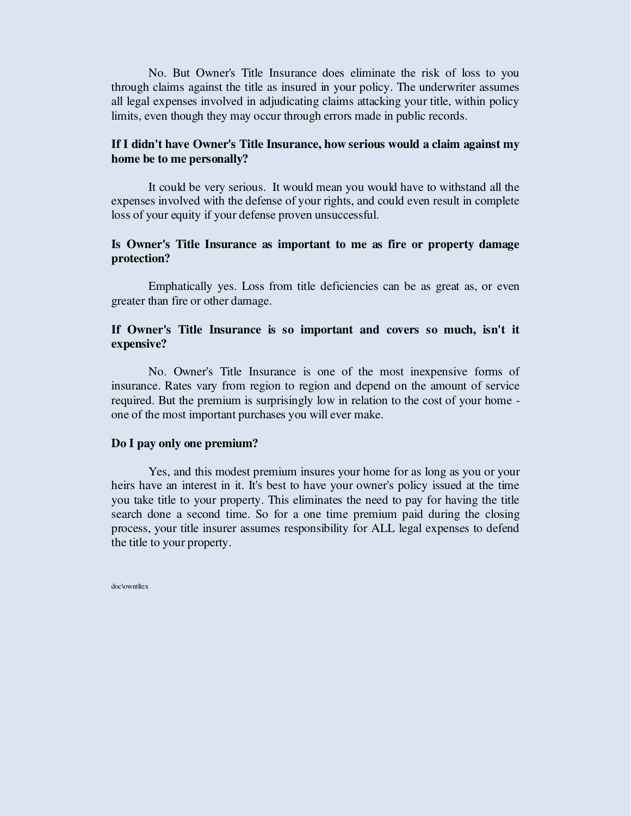No. But Owner's Title Insurance does eliminate the risk of loss to you through claims against the title as insured in your policy. The underwriter assumes all legal expenses involved in adjudicating claims attacking your title, within policy limits, even though they may occur through errors made in public records.

## **If I didn't have Owner's Title Insurance, how serious would a claim against my home be to me personally?**

 It could be very serious. It would mean you would have to withstand all the expenses involved with the defense of your rights, and could even result in complete loss of your equity if your defense proven unsuccessful.

## **Is Owner's Title Insurance as important to me as fire or property damage protection?**

 Emphatically yes. Loss from title deficiencies can be as great as, or even greater than fire or other damage.

## **If Owner's Title Insurance is so important and covers so much, isn't it expensive?**

 No. Owner's Title Insurance is one of the most inexpensive forms of insurance. Rates vary from region to region and depend on the amount of service required. But the premium is surprisingly low in relation to the cost of your home one of the most important purchases you will ever make.

#### **Do I pay only one premium?**

 Yes, and this modest premium insures your home for as long as you or your heirs have an interest in it. It's best to have your owner's policy issued at the time you take title to your property. This eliminates the need to pay for having the title search done a second time. So for a one time premium paid during the closing process, your title insurer assumes responsibility for ALL legal expenses to defend the title to your property.

doc\owntltex